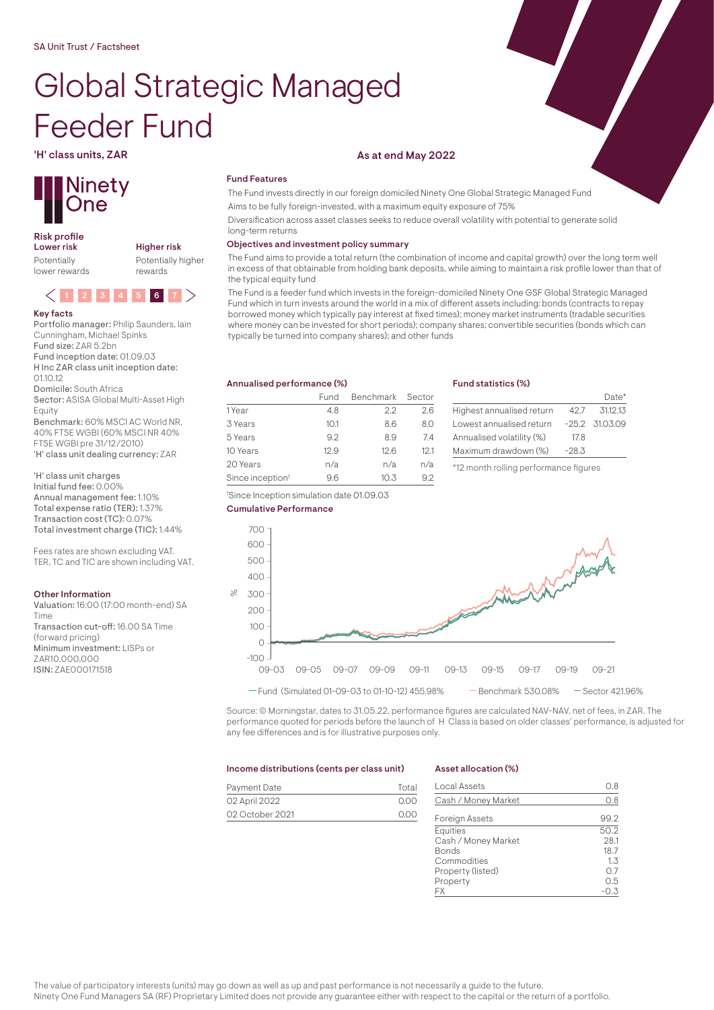# Global Strategic Managed Feeder Fund



# Risk profile<br>Lower risk

Potentially lower rewards Higher risk Potentially higher rewards



#### Key facts

Portfolio manager: Philip Saunders, Iain Cunningham, Michael Spinks Fund size: ZAR 5.2bn Fund inception date: 01.09.03 H Inc ZAR class unit inception date:  $0110.12$ Domicile: South Africa

Sector: ASISA Global Multi-Asset High Equity

Benchmark: 60% MSCI AC World NR, 40% FTSE WGBI (60% MSCI NR 40% FTSE WGBI pre 31/12/2010) 'H' class unit dealing currency: ZAR

'H' class unit charges Initial fund fee: 0.00% Annual management fee: 1.10% Total expense ratio (TER): 1.37% Transaction cost (TC): 0.07% Total investment charge (TIC): 1.44%

Fees rates are shown excluding VAT. TER, TC and TIC are shown including VAT.

#### Other Information

ISIN: ZAE000171518

Valuation: 16:00 (17:00 month-end) SA Time Transaction cut-off: 16.00 SA Time (forward pricing) Minimum investment: LISPs or ZAR10,000,000

## 'H' class units, ZAR As at end May 2022

### Fund Features

The Fund invests directly in our foreign domiciled Ninety One Global Strategic Managed Fund

Aims to be fully foreign-invested, with a maximum equity exposure of 75%

Diversification across asset classes seeks to reduce overall volatility with potential to generate solid long-term returns

#### Objectives and investment policy summary

The Fund aims to provide a total return (the combination of income and capital growth) over the long term well in excess of that obtainable from holding bank deposits, while aiming to maintain a risk profile lower than that of the typical equity fund

The Fund is a feeder fund which invests in the foreign-domiciled Ninety One GSF Global Strategic Managed Fund which in turn invests around the world in a mix of different assets including: bonds (contracts to repay borrowed money which typically pay interest at fixed times); money market instruments (tradable securities where money can be invested for short periods); company shares; convertible securities (bonds which can typically be turned into company shares); and other funds

#### Annualised performance (%)

|                              | Fund | Benchmark Sector |      |
|------------------------------|------|------------------|------|
| 1 Year                       | 4.8  | 22               | 26   |
| 3 Years                      | 10.1 | 8.6              | 8.0  |
| 5 Years                      | 92   | 89               | 74   |
| 10 Years                     | 12.9 | 12.6             | 12.1 |
| 20 Years                     | n/a  | n/a              | n/a  |
| Since inception <sup>t</sup> | 96   | 10.3             | 92   |

† Since Inception simulation date 01.09.03

#### Fund statistics (%)

|                           |         | $Data*$          |
|---------------------------|---------|------------------|
| Highest annualised return | 42.7    | 31.12.13         |
| Lowest annualised return  |         | $-25.2$ 31.03.09 |
| Annualised volatility (%) | 17.8    |                  |
| Maximum drawdown (%)      | $-28.3$ |                  |
|                           |         |                  |

\*12 month rolling performance figures



Source: © Morningstar, dates to 31.05.22, performance figures are calculated NAV-NAV, net of fees, in ZAR. The performance quoted for periods before the launch of H Class is based on older classes' performance, is adjusted for any fee differences and is for illustrative purposes only.

#### Income distributions (cents per class unit)

| Payment Date    | Total |
|-----------------|-------|
| 02 April 2022   | 0.OO  |
| 02 October 2021 | 0.00  |

#### Asset allocation (%)

| Local Assets          | O. 8 |
|-----------------------|------|
| Cash / Money Market   | 0.8  |
|                       |      |
| <b>Foreign Assets</b> | 99.2 |
| <b>Equities</b>       | 50.2 |
| Cash / Money Market   | 28.1 |
| <b>Bonds</b>          | 18.7 |
| Commodities           | 1.3  |
| Property (listed)     | 0.7  |
| Property              | 0.5  |
| FХ                    |      |

The value of participatory interests (units) may go down as well as up and past performance is not necessarily a guide to the future. Ninety One Fund Managers SA (RF) Proprietary Limited does not provide any guarantee either with respect to the capital or the return of a portfolio.